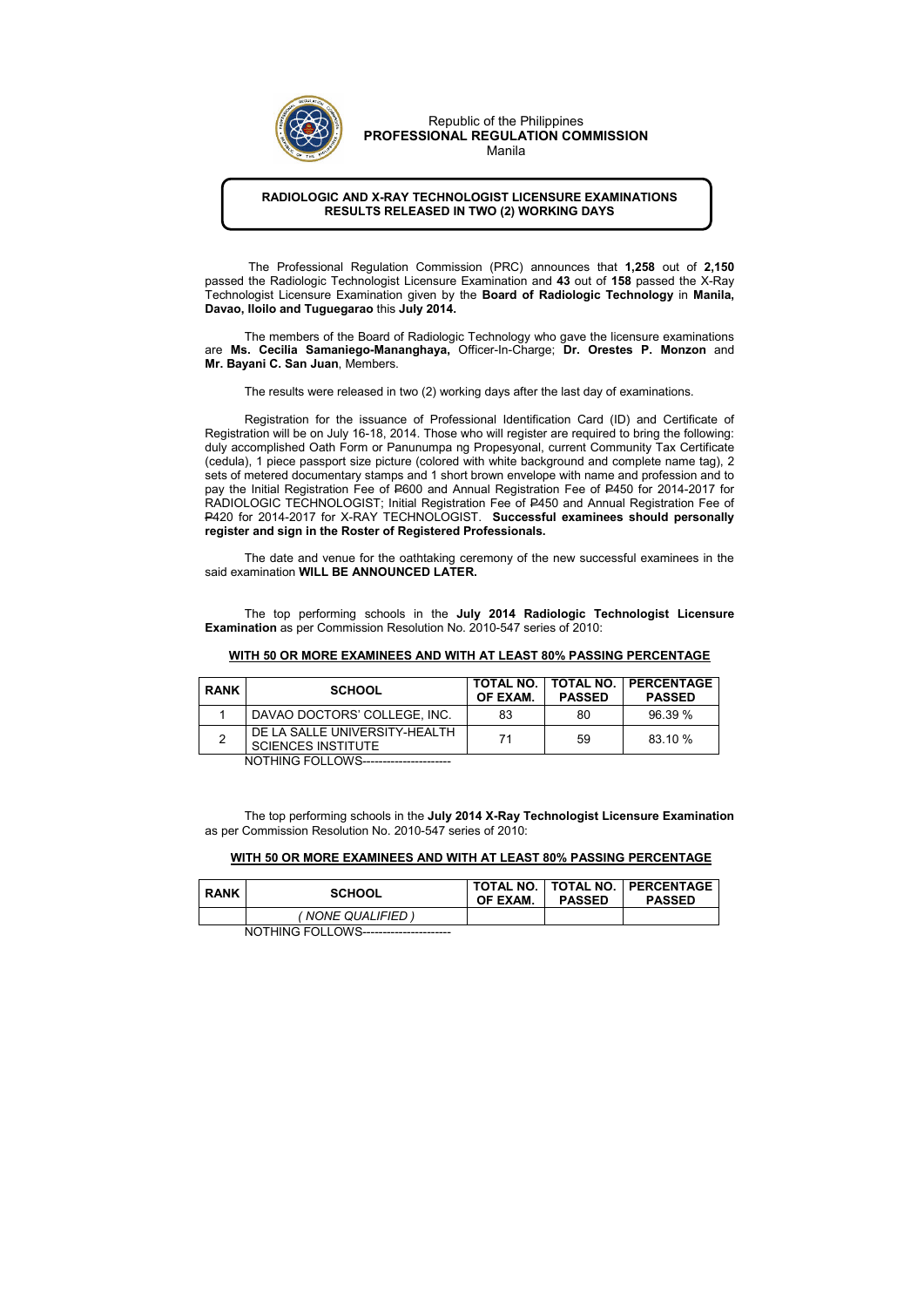## RADIOLOGIC AND X-RAY TECHNOLOGIST LICENSURE EXAMINATIONS RESULTS RELEASED IN TWO (2) WORKING DAYS

 The Professional Regulation Commission (PRC) announces that 1,258 out of 2,150 passed the Radiologic Technologist Licensure Examination and 43 out of 158 passed the X-Ray Technologist Licensure Examination given by the Board of Radiologic Technology in Manila, Davao, Iloilo and Tuguegarao this July 2014.

The members of the Board of Radiologic Technology who gave the licensure examinations are Ms. Cecilia Samaniego-Mananghaya, Officer-In-Charge; Dr. Orestes P. Monzon and Mr. Bayani C. San Juan, Members.

The results were released in two (2) working days after the last day of examinations.

 Registration for the issuance of Professional Identification Card (ID) and Certificate of Registration will be on July 16-18, 2014. Those who will register are required to bring the following: duly accomplished Oath Form or Panunumpa ng Propesyonal, current Community Tax Certificate (cedula), 1 piece passport size picture (colored with white background and complete name tag), 2 sets of metered documentary stamps and 1 short brown envelope with name and profession and to pay the Initial Registration Fee of P600 and Annual Registration Fee of P450 for 2014-2017 for RADIOLOGIC TECHNOLOGIST; Initial Registration Fee of P450 and Annual Registration Fee of P420 for 2014-2017 for X-RAY TECHNOLOGIST. Successful examinees should personally register and sign in the Roster of Registered Professionals.

The date and venue for the oathtaking ceremony of the new successful examinees in the said examination WILL BE ANNOUNCED LATER.

The top performing schools in the July 2014 Radiologic Technologist Licensure Examination as per Commission Resolution No. 2010-547 series of 2010:

## WITH 50 OR MORE EXAMINEES AND WITH AT LEAST 80% PASSING PERCENTAGE

| <b>RANK</b> | <b>SCHOOL</b>                                              | OF EXAM. | <b>PASSED</b> | TOTAL NO.   TOTAL NO.   PERCENTAGE<br><b>PASSED</b> |
|-------------|------------------------------------------------------------|----------|---------------|-----------------------------------------------------|
|             | DAVAO DOCTORS' COLLEGE, INC.                               | 83       | 80            | 96.39 %                                             |
|             | DE LA SALLE UNIVERSITY-HEALTH<br><b>SCIENCES INSTITUTE</b> | 71       | 59            | 83.10 %                                             |

NOTHING FOLLOWS----------------------

The top performing schools in the July 2014 X-Ray Technologist Licensure Examination as per Commission Resolution No. 2010-547 series of 2010:

## WITH 50 OR MORE EXAMINEES AND WITH AT LEAST 80% PASSING PERCENTAGE

| <b>RANK</b> | <b>SCHOOL</b>     | OF EXAM. | <b>PASSED</b> | TOTAL NO.   TOTAL NO.   PERCENTAGE<br><b>PASSED</b> |
|-------------|-------------------|----------|---------------|-----------------------------------------------------|
|             | (NONE QUALIFIED ) |          |               |                                                     |
| $\cdots$    |                   |          |               |                                                     |

NOTHING FOLLOWS----------------------



Republic of the Philippines PROFESSIONAL REGULATION COMMISSION Manila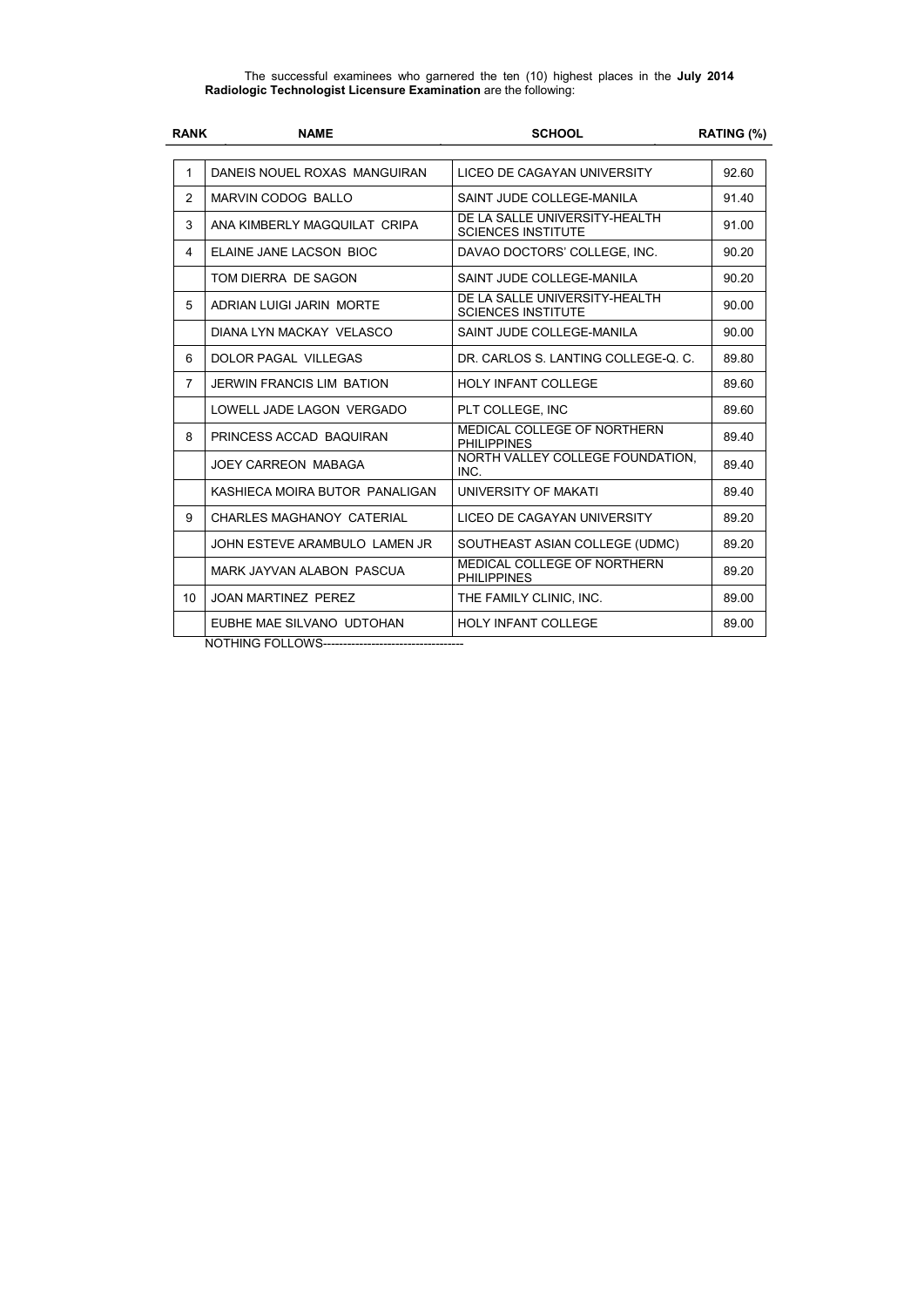The successful examinees who garnered the ten (10) highest places in the July 2014 Radiologic Technologist Licensure Examination are the following:

| <b>RANK</b>     | <b>NAME</b>                                  | <b>SCHOOL</b>                                              | RATING (%) |
|-----------------|----------------------------------------------|------------------------------------------------------------|------------|
|                 |                                              |                                                            |            |
| $\mathbf{1}$    | DANEIS NOUEL ROXAS MANGUIRAN                 | LICEO DE CAGAYAN UNIVERSITY                                | 92.60      |
| 2               | <b>MARVIN CODOG BALLO</b>                    | SAINT JUDE COLLEGE-MANILA                                  | 91.40      |
| 3               | ANA KIMBERLY MAGQUILAT CRIPA                 | DE LA SALLE UNIVERSITY-HEALTH<br><b>SCIENCES INSTITUTE</b> | 91.00      |
| 4               | <b>ELAINE JANE LACSON BIOC</b>               | DAVAO DOCTORS' COLLEGE, INC.                               | 90.20      |
|                 | TOM DIERRA DE SAGON                          | SAINT JUDE COLLEGE-MANILA                                  | 90.20      |
| 5               | <b>ADRIAN LUIGI JARIN MORTE</b>              | DE LA SALLE UNIVERSITY-HEALTH<br><b>SCIENCES INSTITUTE</b> | 90.00      |
|                 | DIANA LYN MACKAY VELASCO                     | SAINT JUDE COLLEGE-MANILA                                  | 90.00      |
| 6               | <b>DOLOR PAGAL VILLEGAS</b>                  | DR. CARLOS S. LANTING COLLEGE-Q. C.                        | 89.80      |
| $\overline{7}$  | <b>JERWIN FRANCIS LIM BATION</b>             | <b>HOLY INFANT COLLEGE</b>                                 | 89.60      |
|                 | LOWELL JADE LAGON VERGADO                    | PLT COLLEGE, INC                                           | 89.60      |
| 8               | PRINCESS ACCAD BAQUIRAN                      | <b>MEDICAL COLLEGE OF NORTHERN</b><br><b>PHILIPPINES</b>   | 89.40      |
|                 | <b>JOEY CARREON MABAGA</b>                   | NORTH VALLEY COLLEGE FOUNDATION,<br>INC.                   | 89.40      |
|                 | KASHIECA MOIRA BUTOR PANALIGAN               | UNIVERSITY OF MAKATI                                       | 89.40      |
| 9               | <b>CHARLES MAGHANOY CATERIAL</b>             | LICEO DE CAGAYAN UNIVERSITY                                | 89.20      |
|                 | JOHN ESTEVE ARAMBULO LAMEN JR                | SOUTHEAST ASIAN COLLEGE (UDMC)                             | 89.20      |
|                 | MARK JAYVAN ALABON PASCUA                    | MEDICAL COLLEGE OF NORTHERN<br><b>PHILIPPINES</b>          | 89.20      |
| 10 <sup>°</sup> | <b>JOAN MARTINEZ PEREZ</b>                   | THE FAMILY CLINIC, INC.                                    | 89.00      |
|                 | EUBHE MAE SILVANO UDTOHAN<br>NOTHING FOLLOMO | <b>HOLY INFANT COLLEGE</b>                                 | 89.00      |

NOTHING FOLLOWS-----------------------------------